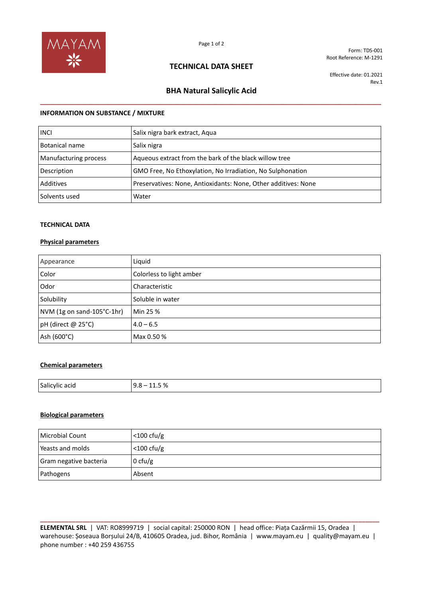

Form: TDS-001 Root Reference: M-1291

# **TECHNICAL DATA SHEET**

Effective date: 01.2021 Rev.1

# **BHA Natural Salicylic Acid \_\_\_\_\_\_\_\_\_\_\_\_\_\_\_\_\_\_\_\_\_\_\_\_\_\_\_\_\_\_\_\_\_\_\_\_\_\_\_\_\_\_\_\_\_\_\_\_\_\_\_\_\_\_\_\_\_\_\_\_\_\_\_\_\_\_\_\_\_\_\_\_\_\_\_\_\_\_\_\_**

# **INFORMATION ON SUBSTANCE / MIXTURE**

| <b>INCI</b>           | Salix nigra bark extract, Aqua                                 |
|-----------------------|----------------------------------------------------------------|
| Botanical name        | Salix nigra                                                    |
| Manufacturing process | Aqueous extract from the bark of the black willow tree         |
| Description           | GMO Free, No Ethoxylation, No Irradiation, No Sulphonation     |
| Additives             | Preservatives: None, Antioxidants: None, Other additives: None |
| Solvents used         | Water                                                          |

# **TECHNICAL DATA**

### **Physical parameters**

| Appearance                 | Liquid                   |
|----------------------------|--------------------------|
| Color                      | Colorless to light amber |
| Odor                       | Characteristic           |
| Solubility                 | Soluble in water         |
| NVM (1g on sand-105°C-1hr) | Min 25 %                 |
| pH (direct @ 25°C)         | $4.0 - 6.5$              |
| Ash (600°C)                | Max 0.50 %               |

### **Chemical parameters**

| Salicylic acid | ິດ/<br>a<br>71.5 %<br>⌒<br>ن.ر |
|----------------|--------------------------------|
|                |                                |

# **Biological parameters**

| Microbial Count        | $<$ 100 cfu/g |
|------------------------|---------------|
| Yeasts and molds       | $<$ 100 cfu/g |
| Gram negative bacteria | 0 cfu/g       |
| Pathogens              | Absent        |

**\_\_\_\_\_\_\_\_\_\_\_\_\_\_\_\_\_\_\_\_\_\_\_\_\_\_\_\_\_\_\_\_\_\_\_\_\_\_\_\_\_\_\_\_\_\_\_\_\_\_\_\_\_\_\_\_\_\_\_\_\_\_\_\_\_\_\_\_\_\_\_\_\_\_\_\_\_\_\_\_\_\_\_\_\_\_\_\_\_\_\_\_\_\_\_\_ ELEMENTAL SRL** | VAT: RO8999719 | social capital: 250000 RON | head office: Piața Cazărmii 15, Oradea | warehouse: Șoseaua Borșului 24/B, 410605 Oradea, jud. Bihor, România | www.mayam.eu | quality@mayam.eu | phone number : +40 259 436755